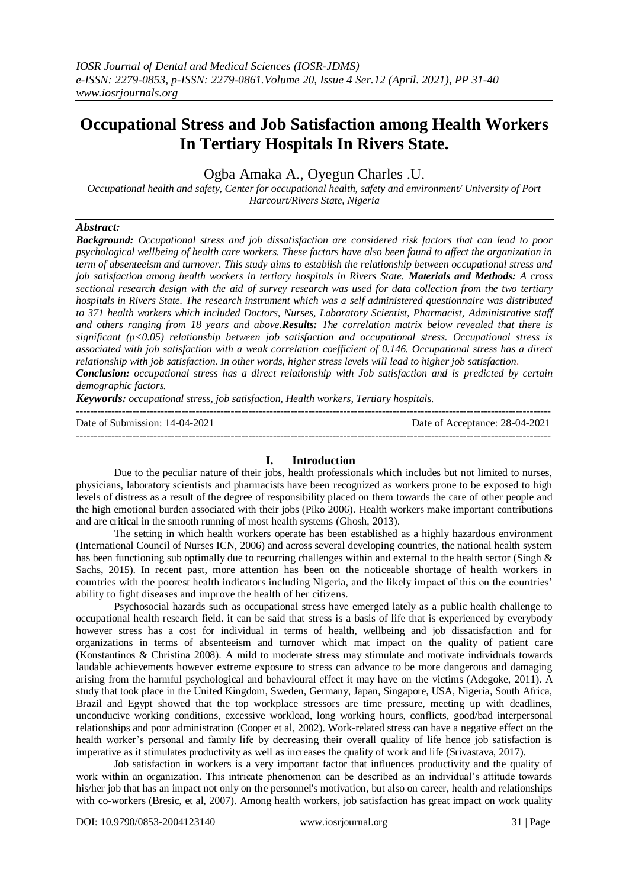# **Occupational Stress and Job Satisfaction among Health Workers In Tertiary Hospitals In Rivers State.**

Ogba Amaka A., Oyegun Charles .U.

*Occupational health and safety, Center for occupational health, safety and environment/ University of Port Harcourt/Rivers State, Nigeria*

## *Abstract:*

*Background: Occupational stress and job dissatisfaction are considered risk factors that can lead to poor psychological wellbeing of health care workers. These factors have also been found to affect the organization in term of absenteeism and turnover. This study aims to establish the relationship between occupational stress and job satisfaction among health workers in tertiary hospitals in Rivers State. Materials and Methods: A cross sectional research design with the aid of survey research was used for data collection from the two tertiary hospitals in Rivers State. The research instrument which was a self administered questionnaire was distributed to 371 health workers which included Doctors, Nurses, Laboratory Scientist, Pharmacist, Administrative staff and others ranging from 18 years and above.Results: The correlation matrix below revealed that there is significant (p<0.05) relationship between job satisfaction and occupational stress. Occupational stress is associated with job satisfaction with a weak correlation coefficient of 0.146. Occupational stress has a direct relationship with job satisfaction. In other words, higher stress levels will lead to higher job satisfaction. Conclusion: occupational stress has a direct relationship with Job satisfaction and is predicted by certain* 

*Keywords: occupational stress, job satisfaction, Health workers, Tertiary hospitals.*

---------------------------------------------------------------------------------------------------------------------------------------

*demographic factors.*

Date of Submission: 14-04-2021 Date of Acceptance: 28-04-2021 ---------------------------------------------------------------------------------------------------------------------------------------

### **I. Introduction**

Due to the peculiar nature of their jobs, health professionals which includes but not limited to nurses, physicians, laboratory scientists and pharmacists have been recognized as workers prone to be exposed to high levels of distress as a result of the degree of responsibility placed on them towards the care of other people and the high emotional burden associated with their jobs (Piko 2006). Health workers make important contributions and are critical in the smooth running of most health systems (Ghosh, 2013).

The setting in which health workers operate has been established as a highly hazardous environment (International Council of Nurses ICN, 2006) and across several developing countries, the national health system has been functioning sub optimally due to recurring challenges within and external to the health sector (Singh & Sachs, 2015). In recent past, more attention has been on the noticeable shortage of health workers in countries with the poorest health indicators including Nigeria, and the likely impact of this on the countries' ability to fight diseases and improve the health of her citizens.

Psychosocial hazards such as occupational stress have emerged lately as a public health challenge to occupational health research field. it can be said that stress is a basis of life that is experienced by everybody however stress has a cost for individual in terms of health, wellbeing and job dissatisfaction and for organizations in terms of absenteeism and turnover which mat impact on the quality of patient care (Konstantinos & Christina 2008). A mild to moderate stress may stimulate and motivate individuals towards laudable achievements however extreme exposure to stress can advance to be more dangerous and damaging arising from the harmful psychological and behavioural effect it may have on the victims (Adegoke, 2011). A study that took place in the United Kingdom, Sweden, Germany, Japan, Singapore, USA, Nigeria, South Africa, Brazil and Egypt showed that the top workplace stressors are time pressure, meeting up with deadlines, unconducive working conditions, excessive workload, long working hours, conflicts, good/bad interpersonal relationships and poor administration (Cooper et al, 2002). Work-related stress can have a negative effect on the health worker's personal and family life by decreasing their overall quality of life hence job satisfaction is imperative as it stimulates productivity as well as increases the quality of work and life (Srivastava, 2017).

Job satisfaction in workers is a very important factor that influences productivity and the quality of work within an organization. This intricate phenomenon can be described as an individual's attitude towards his/her job that has an impact not only on the personnel's motivation, but also on career, health and relationships with co-workers (Bresic, et al, 2007). Among health workers, job satisfaction has great impact on work quality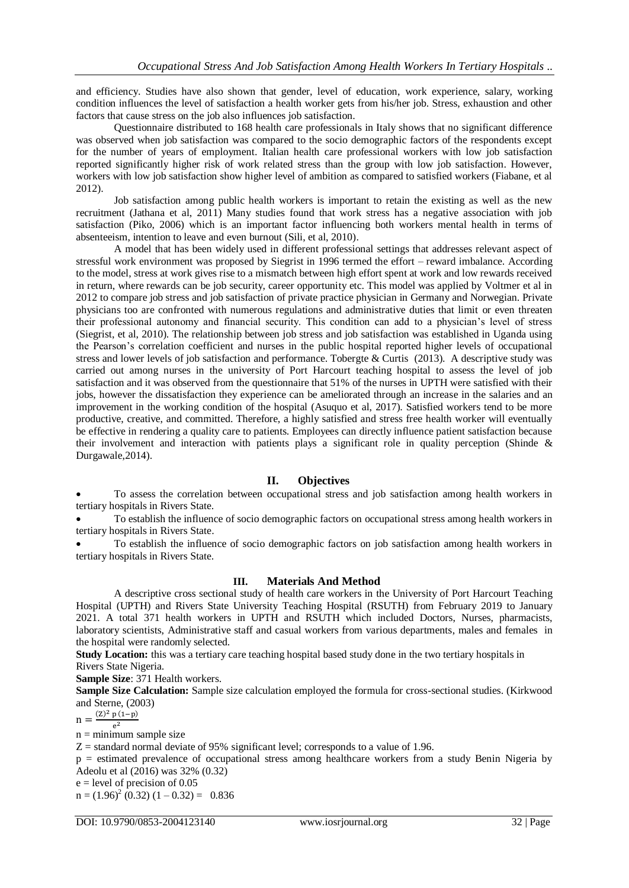and efficiency. Studies have also shown that gender, level of education, work experience, salary, working condition influences the level of satisfaction a health worker gets from his/her job. Stress, exhaustion and other factors that cause stress on the job also influences job satisfaction.

Questionnaire distributed to 168 health care professionals in Italy shows that no significant difference was observed when job satisfaction was compared to the socio demographic factors of the respondents except for the number of years of employment. Italian health care professional workers with low job satisfaction reported significantly higher risk of work related stress than the group with low job satisfaction. However, workers with low job satisfaction show higher level of ambition as compared to satisfied workers (Fiabane, et al 2012).

Job satisfaction among public health workers is important to retain the existing as well as the new recruitment (Jathana et al, 2011) Many studies found that work stress has a negative association with job satisfaction (Piko, 2006) which is an important factor influencing both workers mental health in terms of absenteeism, intention to leave and even burnout (Sili, et al, 2010).

A model that has been widely used in different professional settings that addresses relevant aspect of stressful work environment was proposed by Siegrist in 1996 termed the effort – reward imbalance. According to the model, stress at work gives rise to a mismatch between high effort spent at work and low rewards received in return, where rewards can be job security, career opportunity etc. This model was applied by Voltmer et al in 2012 to compare job stress and job satisfaction of private practice physician in Germany and Norwegian. Private physicians too are confronted with numerous regulations and administrative duties that limit or even threaten their professional autonomy and financial security. This condition can add to a physician's level of stress (Siegrist, et al, 2010). The relationship between job stress and job satisfaction was established in Uganda using the Pearson's correlation coefficient and nurses in the public hospital reported higher levels of occupational stress and lower levels of job satisfaction and performance. Tobergte & Curtis (2013). A descriptive study was carried out among nurses in the university of Port Harcourt teaching hospital to assess the level of job satisfaction and it was observed from the questionnaire that 51% of the nurses in UPTH were satisfied with their jobs, however the dissatisfaction they experience can be ameliorated through an increase in the salaries and an improvement in the working condition of the hospital (Asuquo et al, 2017). Satisfied workers tend to be more productive, creative, and committed. Therefore, a highly satisfied and stress free health worker will eventually be effective in rendering a quality care to patients. Employees can directly influence patient satisfaction because their involvement and interaction with patients plays a significant role in quality perception (Shinde & Durgawale,2014).

## **II. Objectives**

 To assess the correlation between occupational stress and job satisfaction among health workers in tertiary hospitals in Rivers State.

 To establish the influence of socio demographic factors on occupational stress among health workers in tertiary hospitals in Rivers State.

 To establish the influence of socio demographic factors on job satisfaction among health workers in tertiary hospitals in Rivers State.

## **III. Materials And Method**

A descriptive cross sectional study of health care workers in the University of Port Harcourt Teaching Hospital (UPTH) and Rivers State University Teaching Hospital (RSUTH) from February 2019 to January 2021. A total 371 health workers in UPTH and RSUTH which included Doctors, Nurses, pharmacists, laboratory scientists, Administrative staff and casual workers from various departments, males and females in the hospital were randomly selected.

**Study Location:** this was a tertiary care teaching hospital based study done in the two tertiary hospitals in Rivers State Nigeria.

**Sample Size**: 371 Health workers.

**Sample Size Calculation:** Sample size calculation employed the formula for cross-sectional studies. (Kirkwood and Sterne, (2003)

 $n = \frac{(\mathbf{Z})^2}{\mathbf{Z} \cdot \mathbf{Z}}$ 

 $e^2$  $n =$  minimum sample size

 $Z =$  standard normal deviate of 95% significant level; corresponds to a value of 1.96.

p = estimated prevalence of occupational stress among healthcare workers from a study Benin Nigeria by Adeolu et al (2016) was 32% (0.32)

 $e = level of precision of 0.05$ 

 $n = (1.96)^2 (0.32) (1 - 0.32) = 0.836$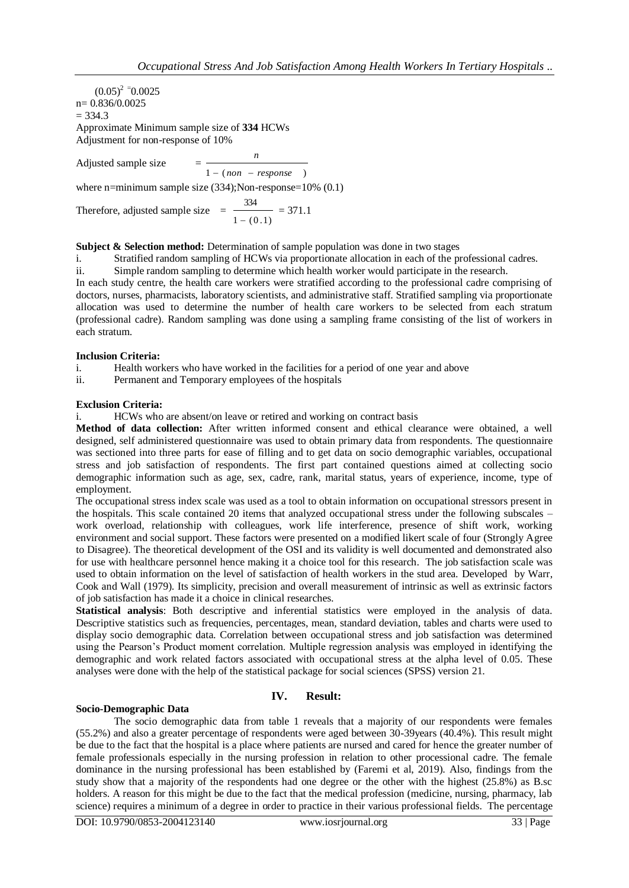$(0.05)^2$  = 0.0025 n= 0.836/0.0025  $= 334.3$ Approximate Minimum sample size of **334** HCWs Adjustment for non-response of 10%

Adjusted sample size =  $1 - (non - response)$ *n* where n=minimum sample size (334);Non-response=10% (0.1)

Therefore, adjusted sample size  $=$  $1 - (0.1)$ 334  $\overline{a}$  $= 371.1$ 

## **Subject & Selection method:** Determination of sample population was done in two stages

i. Stratified random sampling of HCWs via proportionate allocation in each of the professional cadres.

ii. Simple random sampling to determine which health worker would participate in the research.

In each study centre, the health care workers were stratified according to the professional cadre comprising of doctors, nurses, pharmacists, laboratory scientists, and administrative staff. Stratified sampling via proportionate allocation was used to determine the number of health care workers to be selected from each stratum (professional cadre). Random sampling was done using a sampling frame consisting of the list of workers in each stratum.

## **Inclusion Criteria:**

i. Health workers who have worked in the facilities for a period of one year and above

ii. Permanent and Temporary employees of the hospitals

#### **Exclusion Criteria:**

i. HCWs who are absent/on leave or retired and working on contract basis

**Method of data collection:** After written informed consent and ethical clearance were obtained, a well designed, self administered questionnaire was used to obtain primary data from respondents. The questionnaire was sectioned into three parts for ease of filling and to get data on socio demographic variables, occupational stress and job satisfaction of respondents. The first part contained questions aimed at collecting socio demographic information such as age, sex, cadre, rank, marital status, years of experience, income, type of employment.

The occupational stress index scale was used as a tool to obtain information on occupational stressors present in the hospitals. This scale contained 20 items that analyzed occupational stress under the following subscales – work overload, relationship with colleagues, work life interference, presence of shift work, working environment and social support. These factors were presented on a modified likert scale of four (Strongly Agree to Disagree). The theoretical development of the OSI and its validity is well documented and demonstrated also for use with healthcare personnel hence making it a choice tool for this research. The job satisfaction scale was used to obtain information on the level of satisfaction of health workers in the stud area. Developed by Warr, Cook and Wall (1979). Its simplicity, precision and overall measurement of intrinsic as well as extrinsic factors of job satisfaction has made it a choice in clinical researches.

**Statistical analysis**: Both descriptive and inferential statistics were employed in the analysis of data. Descriptive statistics such as frequencies, percentages, mean, standard deviation, tables and charts were used to display socio demographic data. Correlation between occupational stress and job satisfaction was determined using the Pearson's Product moment correlation. Multiple regression analysis was employed in identifying the demographic and work related factors associated with occupational stress at the alpha level of 0.05. These analyses were done with the help of the statistical package for social sciences (SPSS) version 21.

## **IV. Result:**

#### **Socio-Demographic Data**

The socio demographic data from table 1 reveals that a majority of our respondents were females (55.2%) and also a greater percentage of respondents were aged between 30-39years (40.4%). This result might be due to the fact that the hospital is a place where patients are nursed and cared for hence the greater number of female professionals especially in the nursing profession in relation to other processional cadre. The female dominance in the nursing professional has been established by (Faremi et al, 2019). Also, findings from the study show that a majority of the respondents had one degree or the other with the highest (25.8%) as B.sc holders. A reason for this might be due to the fact that the medical profession (medicine, nursing, pharmacy, lab science) requires a minimum of a degree in order to practice in their various professional fields. The percentage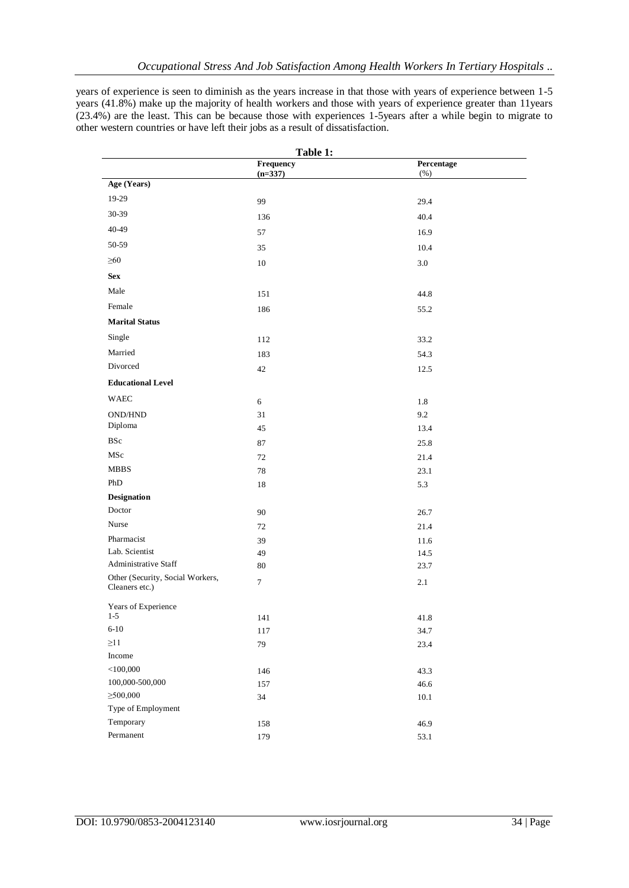years of experience is seen to diminish as the years increase in that those with years of experience between 1-5 years (41.8%) make up the majority of health workers and those with years of experience greater than 11years (23.4%) are the least. This can be because those with experiences 1-5years after a while begin to migrate to other western countries or have left their jobs as a result of dissatisfaction.

|                                                    | Table 1:       |             |
|----------------------------------------------------|----------------|-------------|
|                                                    | Frequency      | Percentage  |
| Age (Years)                                        | $(n=337)$      | $(\%)$      |
| 19-29                                              |                |             |
| 30-39                                              | 99             | 29.4        |
|                                                    | 136            | 40.4        |
| 40-49                                              | 57             | 16.9        |
| 50-59                                              | 35             | 10.4        |
| $\geq 60$                                          | 10             | 3.0         |
| <b>Sex</b>                                         |                |             |
| Male                                               | 151            | 44.8        |
| Female                                             | 186            | 55.2        |
| <b>Marital Status</b>                              |                |             |
| Single                                             | 112            | 33.2        |
| Married                                            | 183            | 54.3        |
| Divorced                                           | 42             | 12.5        |
| <b>Educational Level</b>                           |                |             |
| <b>WAEC</b>                                        |                |             |
| <b>OND/HND</b>                                     | 6              | 1.8         |
| Diploma                                            | 31<br>45       | 9.2<br>13.4 |
| <b>BSc</b>                                         | 87             | 25.8        |
| MSc                                                | 72             | 21.4        |
| <b>MBBS</b>                                        | 78             | 23.1        |
| PhD                                                | 18             | 5.3         |
| <b>Designation</b>                                 |                |             |
| Doctor                                             | 90             | 26.7        |
| Nurse                                              | 72             | 21.4        |
| Pharmacist                                         | 39             | 11.6        |
| Lab. Scientist                                     | 49             | 14.5        |
| Administrative Staff                               | 80             | 23.7        |
| Other (Security, Social Workers,<br>Cleaners etc.) | $\overline{7}$ | 2.1         |
| Years of Experience                                |                |             |
| $1 - 5$                                            | 141            | 41.8        |
| $6 - 10$                                           | 117            | 34.7        |
| $\geq$ 11                                          | 79             | 23.4        |
| Income                                             |                |             |
| $<$ 100,000<br>100,000-500,000                     | 146            | 43.3        |
| $\geq 500,000$                                     | 157            | 46.6        |
| Type of Employment                                 | 34             | $10.1\,$    |
| Temporary                                          | 158            | 46.9        |
| $\mbox{Permanent}$                                 | 179            | 53.1        |
|                                                    |                |             |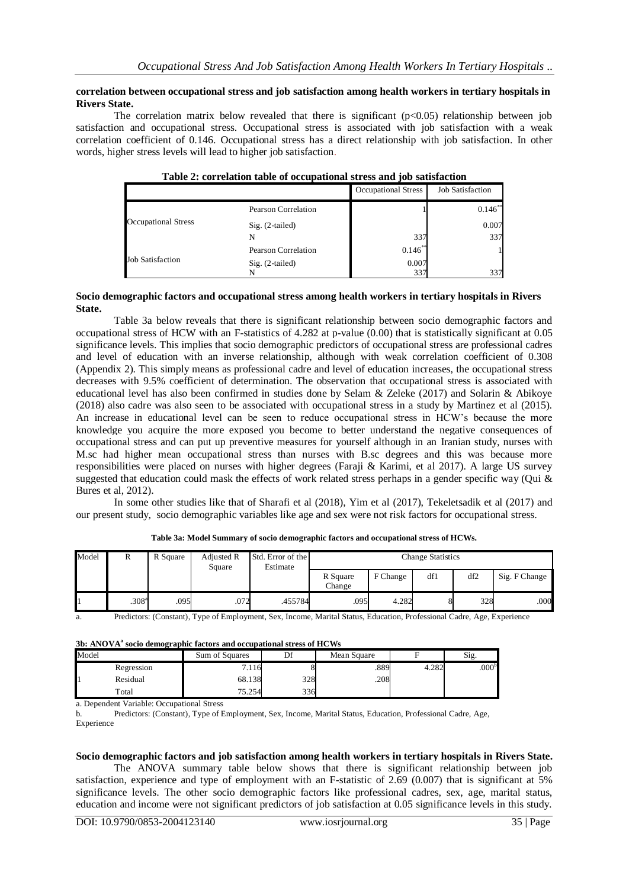#### **correlation between occupational stress and job satisfaction among health workers in tertiary hospitals in Rivers State.**

The correlation matrix below revealed that there is significant  $(p<0.05)$  relationship between job satisfaction and occupational stress. Occupational stress is associated with job satisfaction with a weak correlation coefficient of 0.146. Occupational stress has a direct relationship with job satisfaction. In other words, higher stress levels will lead to higher job satisfaction.

|                            | Those is correlation more or occupational bu cop and job bationed on |                            |                         |
|----------------------------|----------------------------------------------------------------------|----------------------------|-------------------------|
|                            |                                                                      | <b>Occupational Stress</b> | <b>Job Satisfaction</b> |
|                            | Pearson Correlation                                                  |                            | $0.146***$              |
| <b>Occupational Stress</b> | $Sig. (2-tailed)$                                                    |                            | 0.007                   |
|                            | N                                                                    | 337                        | 337                     |
|                            | Pearson Correlation                                                  | $0.146$ **                 |                         |
| <b>Job Satisfaction</b>    | $Sig. (2-tailed)$                                                    | 0.007                      |                         |
|                            |                                                                      | 337                        | 337                     |

## **Table 2: correlation table of occupational stress and job satisfaction**

#### **Socio demographic factors and occupational stress among health workers in tertiary hospitals in Rivers State.**

Table 3a below reveals that there is significant relationship between socio demographic factors and occupational stress of HCW with an F-statistics of 4.282 at p-value (0.00) that is statistically significant at 0.05 significance levels. This implies that socio demographic predictors of occupational stress are professional cadres and level of education with an inverse relationship, although with weak correlation coefficient of 0.308 (Appendix 2). This simply means as professional cadre and level of education increases, the occupational stress decreases with 9.5% coefficient of determination. The observation that occupational stress is associated with educational level has also been confirmed in studies done by Selam & Zeleke (2017) and Solarin & Abikoye (2018) also cadre was also seen to be associated with occupational stress in a study by Martinez et al (2015). An increase in educational level can be seen to reduce occupational stress in HCW's because the more knowledge you acquire the more exposed you become to better understand the negative consequences of occupational stress and can put up preventive measures for yourself although in an Iranian study, nurses with M.sc had higher mean occupational stress than nurses with B.sc degrees and this was because more responsibilities were placed on nurses with higher degrees (Faraji & Karimi, et al 2017). A large US survey suggested that education could mask the effects of work related stress perhaps in a gender specific way (Qui & Bures et al, 2012).

In some other studies like that of Sharafi et al (2018), Yim et al (2017), Tekeletsadik et al (2017) and our present study, socio demographic variables like age and sex were not risk factors for occupational stress.

| Model | R                 | R Square | Adjusted R<br>Square | Std. Error of the<br>Estimate | <b>Change Statistics</b> |          |     |     |               |
|-------|-------------------|----------|----------------------|-------------------------------|--------------------------|----------|-----|-----|---------------|
|       |                   |          |                      |                               | R Square<br>Change       | F Change | df1 | df2 | Sig. F Change |
|       | .308 <sup>a</sup> | .095     | .072                 | .455784                       | .095                     | 4.282    |     | 328 | .000          |

**Table 3a: Model Summary of socio demographic factors and occupational stress of HCWs.**

a. Predictors: (Constant), Type of Employment, Sex, Income, Marital Status, Education, Professional Cadre, Age, Experience

| 3b: ANOVA <sup>a</sup> socio demographic factors and occupational stress of HCWs |            |                |     |             |       |                   |  |  |
|----------------------------------------------------------------------------------|------------|----------------|-----|-------------|-------|-------------------|--|--|
| Model                                                                            |            | Sum of Squares | ₽€  | Mean Square |       | Sig.              |  |  |
|                                                                                  | Regression | 7.116          |     | .889        | 4.282 | .000 <sup>o</sup> |  |  |
|                                                                                  | Residual   | 68.138         | 328 | .208        |       |                   |  |  |
|                                                                                  | Total      | 75.254         | 336 |             |       |                   |  |  |

a. Dependent Variable: Occupational Stress

b. Predictors: (Constant), Type of Employment, Sex, Income, Marital Status, Education, Professional Cadre, Age, Experience

#### **Socio demographic factors and job satisfaction among health workers in tertiary hospitals in Rivers State.**

The ANOVA summary table below shows that there is significant relationship between job satisfaction, experience and type of employment with an F-statistic of 2.69 (0.007) that is significant at 5% significance levels. The other socio demographic factors like professional cadres, sex, age, marital status, education and income were not significant predictors of job satisfaction at 0.05 significance levels in this study.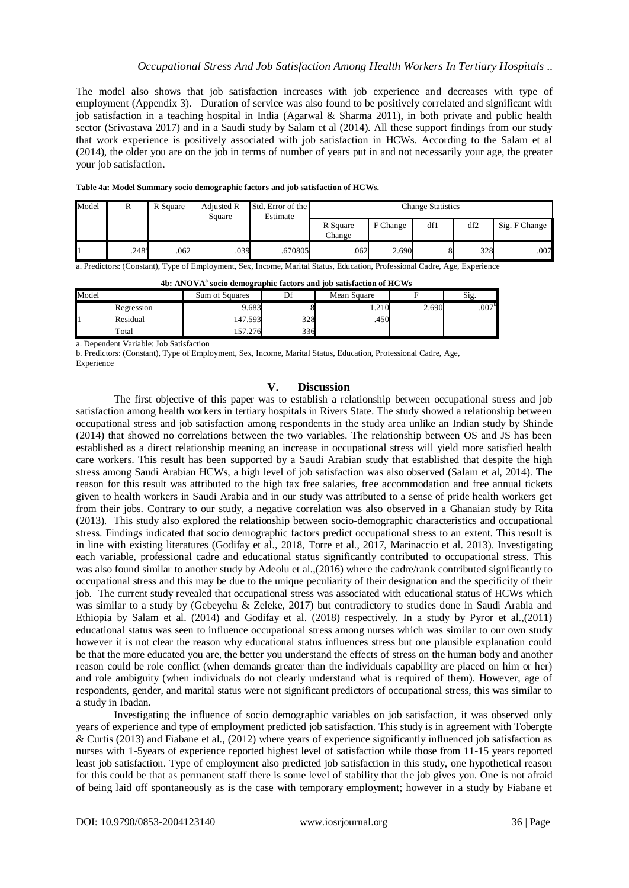The model also shows that job satisfaction increases with job experience and decreases with type of employment (Appendix 3). Duration of service was also found to be positively correlated and significant with job satisfaction in a teaching hospital in India (Agarwal & Sharma 2011), in both private and public health sector (Srivastava 2017) and in a Saudi study by Salam et al (2014). All these support findings from our study that work experience is positively associated with job satisfaction in HCWs. According to the Salam et al (2014), the older you are on the job in terms of number of years put in and not necessarily your age, the greater your job satisfaction.

| Model | R                   | R Square | <b>Adjusted R</b><br>Square | Std. Error of the<br>Estimate | <b>Change Statistics</b> |          |     |     |               |
|-------|---------------------|----------|-----------------------------|-------------------------------|--------------------------|----------|-----|-----|---------------|
|       |                     |          |                             |                               | R Square<br>Change       | F Change | df1 | df2 | Sig. F Change |
|       | $.248$ <sup>a</sup> | .062     | .039                        | .670805                       | .062                     | 2.690    |     | 328 | .007          |

a. Predictors: (Constant), Type of Employment, Sex, Income, Marital Status, Education, Professional Cadre, Age, Experience

|       |            | Tot the or the sound available plate fuctors and job substaction of HC (15 |     |             |       |                   |
|-------|------------|----------------------------------------------------------------------------|-----|-------------|-------|-------------------|
| Model |            | Sum of Squares                                                             |     | Mean Square |       | Sig.              |
|       | Regression | 9.683                                                                      |     | 210         | 2.690 | .007 <sup>b</sup> |
|       | Residual   | 147.593                                                                    | 328 | .450        |       |                   |
|       | Total      | 157.276                                                                    | 336 |             |       |                   |

**4b: ANOVA<sup>a</sup> socio demographic factors and job satisfaction of HCWs**

a. Dependent Variable: Job Satisfaction

b. Predictors: (Constant), Type of Employment, Sex, Income, Marital Status, Education, Professional Cadre, Age, Experience

## **V. Discussion**

The first objective of this paper was to establish a relationship between occupational stress and job satisfaction among health workers in tertiary hospitals in Rivers State. The study showed a relationship between occupational stress and job satisfaction among respondents in the study area unlike an Indian study by Shinde (2014) that showed no correlations between the two variables. The relationship between OS and JS has been established as a direct relationship meaning an increase in occupational stress will yield more satisfied health care workers. This result has been supported by a Saudi Arabian study that established that despite the high stress among Saudi Arabian HCWs, a high level of job satisfaction was also observed (Salam et al, 2014). The reason for this result was attributed to the high tax free salaries, free accommodation and free annual tickets given to health workers in Saudi Arabia and in our study was attributed to a sense of pride health workers get from their jobs. Contrary to our study, a negative correlation was also observed in a Ghanaian study by Rita (2013). This study also explored the relationship between socio-demographic characteristics and occupational stress. Findings indicated that socio demographic factors predict occupational stress to an extent. This result is in line with existing literatures (Godifay et al., 2018, Torre et al., 2017, Marinaccio et al. 2013). Investigating each variable, professional cadre and educational status significantly contributed to occupational stress. This was also found similar to another study by Adeolu et al.,(2016) where the cadre/rank contributed significantly to occupational stress and this may be due to the unique peculiarity of their designation and the specificity of their job. The current study revealed that occupational stress was associated with educational status of HCWs which was similar to a study by (Gebeyehu & Zeleke, 2017) but contradictory to studies done in Saudi Arabia and Ethiopia by Salam et al. (2014) and Godifay et al. (2018) respectively. In a study by Pyror et al.,(2011) educational status was seen to influence occupational stress among nurses which was similar to our own study however it is not clear the reason why educational status influences stress but one plausible explanation could be that the more educated you are, the better you understand the effects of stress on the human body and another reason could be role conflict (when demands greater than the individuals capability are placed on him or her) and role ambiguity (when individuals do not clearly understand what is required of them). However, age of respondents, gender, and marital status were not significant predictors of occupational stress, this was similar to a study in Ibadan.

Investigating the influence of socio demographic variables on job satisfaction, it was observed only years of experience and type of employment predicted job satisfaction. This study is in agreement with Tobergte & Curtis (2013) and Fiabane et al., (2012) where years of experience significantly influenced job satisfaction as nurses with 1-5years of experience reported highest level of satisfaction while those from 11-15 years reported least job satisfaction. Type of employment also predicted job satisfaction in this study, one hypothetical reason for this could be that as permanent staff there is some level of stability that the job gives you. One is not afraid of being laid off spontaneously as is the case with temporary employment; however in a study by Fiabane et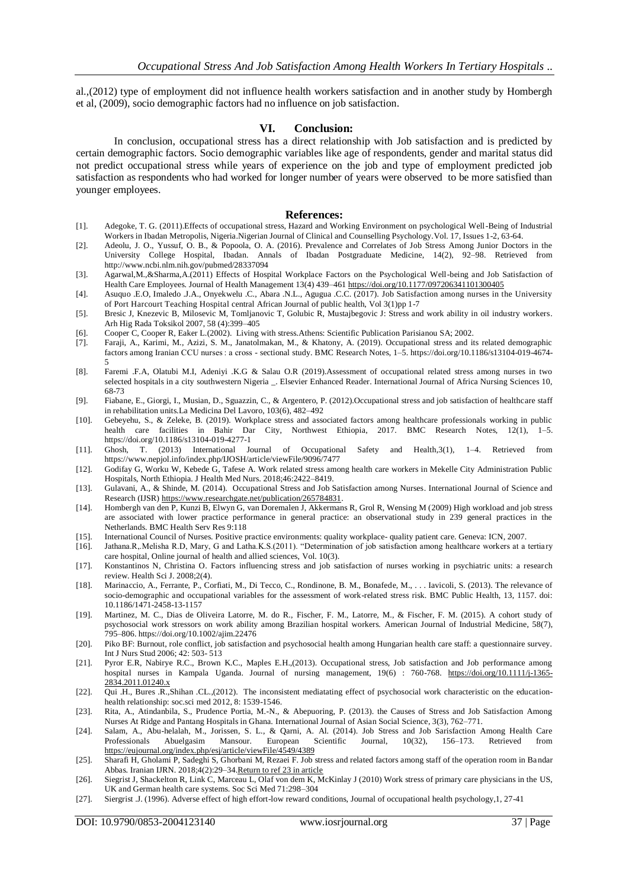al.,(2012) type of employment did not influence health workers satisfaction and in another study by Hombergh et al, (2009), socio demographic factors had no influence on job satisfaction.

#### **VI. Conclusion:**

In conclusion, occupational stress has a direct relationship with Job satisfaction and is predicted by certain demographic factors. Socio demographic variables like age of respondents, gender and marital status did not predict occupational stress while years of experience on the job and type of employment predicted job satisfaction as respondents who had worked for longer number of years were observed to be more satisfied than younger employees.

#### **References:**

- [1]. Adegoke, T. G. (2011).Effects of occupational stress, Hazard and Working Environment on psychological Well-Being of Industrial Workers in Ibadan Metropolis, Nigeria.Nigerian Journal of Clinical and Counselling Psychology.Vol. 17, Issues 1-2, 63-64.
- [2]. Adeolu, J. O., Yussuf, O. B., & Popoola, O. A. (2016). Prevalence and Correlates of Job Stress Among Junior Doctors in the University College Hospital, Ibadan. Annals of Ibadan Postgraduate Medicine, 14(2), 92–98. Retrieved from http://www.ncbi.nlm.nih.gov/pubmed/28337094
- [3]. Agarwal,M.,&Sharma,A.(2011) Effects of Hospital Workplace Factors on the Psychological Well-being and Job Satisfaction of Health Care Employees. Journal of Health Management 13(4) 439–461 <https://doi.org/10.1177/097206341101300405>
- [4]. Asuquo .E.O, Imaledo .J.A., Onyekwelu .C., Abara .N.L., Agugua .C.C. (2017). Job Satisfaction among nurses in the University of Port Harcourt Teaching Hospital central African Journal of public health, Vol 3(1)pp 1-7
- [5]. Bresic J, Knezevic B, Milosevic M, Tomljanovic T, Golubic R, Mustajbegovic J: Stress and work ability in oil industry workers. Arh Hig Rada Toksikol 2007, 58 (4):399–405
- [6]. Cooper C, Cooper R, Eaker L.(2002). Living with stress.Athens: Scientific Publication Parisianou SA; 2002.
- [7]. Faraji, A., Karimi, M., Azizi, S. M., Janatolmakan, M., & Khatony, A. (2019). Occupational stress and its related demographic factors among Iranian CCU nurses : a cross - sectional study. BMC Research Notes, 1–5. https://doi.org/10.1186/s13104-019-4674- 5
- [8]. Faremi .F.A, Olatubi M.I, Adeniyi .K.G & Salau O.R (2019).Assessment of occupational related stress among nurses in two selected hospitals in a city southwestern Nigeria \_. Elsevier Enhanced Reader. International Journal of Africa Nursing Sciences 10, 68-73
- [9]. Fiabane, E., Giorgi, I., Musian, D., Sguazzin, C., & Argentero, P. (2012).Occupational stress and job satisfaction of healthcare staff in rehabilitation units.La Medicina Del Lavoro, 103(6), 482–492
- [10]. Gebeyehu, S., & Zeleke, B. (2019). Workplace stress and associated factors among healthcare professionals working in public health care facilities in Bahir Dar City, Northwest Ethiopia, 2017. BMC Research Notes, 12(1), 1–5. https://doi.org/10.1186/s13104-019-4277-1
- [11]. Ghosh, T. (2013) International Journal of Occupational Safety and Health,3(1), 1–4. Retrieved from https://www.nepjol.info/index.php/IJOSH/article/viewFile/9096/7477
- [12]. Godifay G, Worku W, Kebede G, Tafese A. Work related stress among health care workers in Mekelle City Administration Public Hospitals, North Ethiopia. J Health Med Nurs. 2018;46:2422–8419.
- [13]. Gulavani, A., & Shinde, M. (2014). Occupational Stress and Job Satisfaction among Nurses. International Journal of Science and Research (IJSR) [https://www.researchgate.net/publication/265784831.](https://www.researchgate.net/publication/265784831)
- [14]. Hombergh van den P, Kunzi B, Elwyn G, van Doremalen J, Akkermans R, Grol R, Wensing M (2009) High workload and job stress are associated with lower practice performance in general practice: an observational study in 239 general practices in the Netherlands. BMC Health Serv Res 9:118
- [15]. International Council of Nurses. Positive practice environments: quality workplace- quality patient care. Geneva: ICN, 2007.
- [16]. Jathana.R,.Melisha R.D, Mary, G and Latha.K.S.(2011). "Determination of job satisfaction among healthcare workers at a tertiary care hospital, Online journal of health and allied sciences, Vol. 10(3).
- [17]. Konstantinos N, Christina O. Factors influencing stress and job satisfaction of nurses working in psychiatric units: a research review. Health Sci J. 2008;2(4).
- [18]. Marinaccio, A., Ferrante, P., Corfiati, M., Di Tecco, C., Rondinone, B. M., Bonafede, M., . . . Iavicoli, S. (2013). The relevance of socio-demographic and occupational variables for the assessment of work-related stress risk. BMC Public Health, 13, 1157. doi: 10.1186/1471-2458-13-1157
- [19]. Martinez, M. C., Dias de Oliveira Latorre, M. do R., Fischer, F. M., Latorre, M., & Fischer, F. M. (2015). A cohort study of psychosocial work stressors on work ability among Brazilian hospital workers. American Journal of Industrial Medicine, 58(7), 795–806. https://doi.org/10.1002/ajim.22476
- [20]. Piko BF: Burnout, role conflict, job satisfaction and psychosocial health among Hungarian health care staff: a questionnaire survey. Int J Nurs Stud 2006; 42: 503- 513
- [21]. Pyror E.R, Nabirye R.C., Brown K.C., Maples E.H.,(2013). Occupational stress, Job satisfaction and Job performance among hospital nurses in Kampala Uganda. Journal of nursing management, 19(6) : 760-768. [https://doi.org/10.1111/j-1365-](https://doi.org/10.1111/j-1365-2834.2011.01240.x) [2834.2011.01240.x](https://doi.org/10.1111/j-1365-2834.2011.01240.x)
- [22]. Qui .H., Bures .R.,Shihan .CL.,(2012). The inconsistent mediatating effect of psychosocial work characteristic on the educationhealth relationship: soc.sci med 2012, 8: 1539-1546.
- [23]. Rita, A., Atindanbila, S., Prudence Portia, M.-N., & Abepuoring, P. (2013). the Causes of Stress and Job Satisfaction Among Nurses At Ridge and Pantang Hospitals in Ghana. International Journal of Asian Social Science, 3(3), 762–771.
- [24]. Salam, A., Abu-helalah, M., Jorissen, S. L., & Qarni, A. Al. (2014). Job Stress and Job Sarisfaction Among Health Care Professionals Abuelgasim Mansour. European Scientific Journal, 10(32), 156–173. Retrieved from <https://eujournal.org/index.php/esj/article/viewFile/4549/4389>
- [25]. Sharafi H, Gholami P, Sadeghi S, Ghorbani M, Rezaei F. Job stress and related factors among staff of the operation room in Bandar Abbas. Iranian IJRN. 2018;4(2):29–3[4.Return to ref 23 in article](https://bmcresnotes.biomedcentral.com/articles/10.1186/s13104-019-4674-5#ref-link-section-d27254e1830)
- [26]. Siegrist J, Shackelton R, Link C, Marceau L, Olaf von dem K, McKinlay J (2010) Work stress of primary care physicians in the US, UK and German health care systems. Soc Sci Med 71:298–304
- [27]. Siergrist .J. (1996). Adverse effect of high effort-low reward conditions, Journal of occupational health psychology,1, 27-41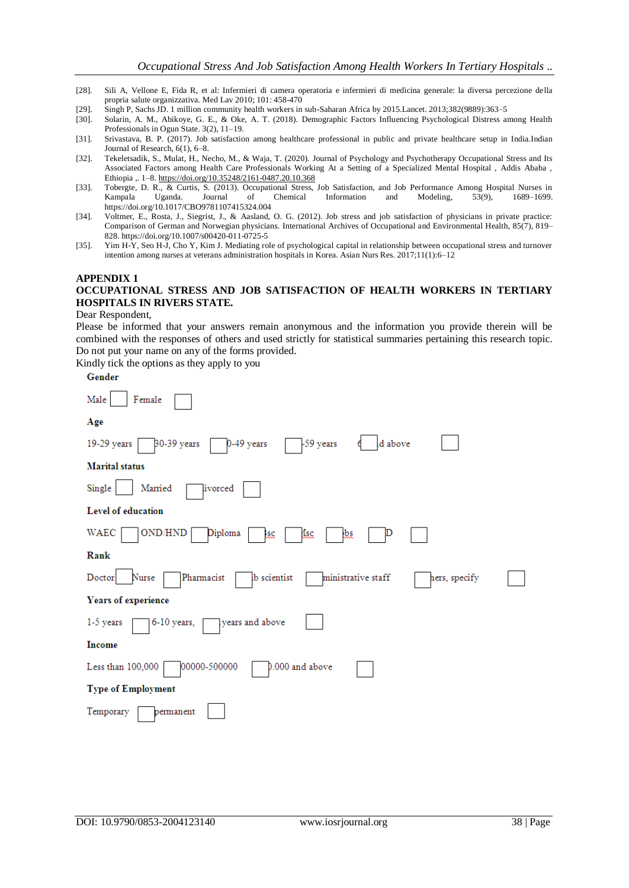- [28]. Sili A, Vellone E, Fida R, et al: Infermieri di camera operatoria e infermieri di medicina generale: la diversa percezione della propria salute organizzativa. Med Lav 2010; 101: 458-470
- [29]. Singh P, Sachs JD. 1 million community health workers in sub-Saharan Africa by 2015.Lancet. 2013;382(9889):363–5
- [30]. Solarin, A. M., Abikoye, G. E., & Oke, A. T. (2018). Demographic Factors Influencing Psychological Distress among Health Professionals in Ogun State. 3(2), 11–19.
- [31]. Srivastava, B. P. (2017). Job satisfaction among healthcare professional in public and private healthcare setup in India.Indian Journal of Research, 6(1), 6–8.
- [32]. Tekeletsadik, S., Mulat, H., Necho, M., & Waja, T. (2020). Journal of Psychology and Psychotherapy Occupational Stress and Its Associated Factors among Health Care Professionals Working At a Setting of a Specialized Mental Hospital , Addis Ababa , Ethiopia ,. 1–8[. https://doi.org/10.35248/2161-0487.20.10.368](https://doi.org/10.35248/2161-0487.20.10.368)
- [33]. Tobergte, D. R., & Curtis, S. (2013). Occupational Stress, Job Satisfaction, and Job Performance Among Hospital Nurses in Kampala Uganda. Journal of Chemical Information and Modeling, 53(9), 1689–1699. https://doi.org/10.1017/CBO9781107415324.004
- [34]. Voltmer, E., Rosta, J., Siegrist, J., & Aasland, O. G. (2012). Job stress and job satisfaction of physicians in private practice: Comparison of German and Norwegian physicians. International Archives of Occupational and Environmental Health, 85(7), 819– 828. https://doi.org/10.1007/s00420-011-0725-5
- [35]. Yim H-Y, Seo H-J, Cho Y, Kim J. Mediating role of psychological capital in relationship between occupational stress and turnover intention among nurses at veterans administration hospitals in Korea. Asian Nurs Res. 2017;11(1):6–12

## **APPENDIX 1 OCCUPATIONAL STRESS AND JOB SATISFACTION OF HEALTH WORKERS IN TERTIARY HOSPITALS IN RIVERS STATE.**

#### Dear Respondent,

Please be informed that your answers remain anonymous and the information you provide therein will be combined with the responses of others and used strictly for statistical summaries pertaining this research topic. Do not put your name on any of the forms provided.

Kindly tick the options as they apply to you

| ٠ |  |  |  |
|---|--|--|--|
|   |  |  |  |

| Female<br>Male                                                                             |
|--------------------------------------------------------------------------------------------|
| Age                                                                                        |
| d above<br>30-39 years<br>0-49 years<br>-59 years<br>19-29 years                           |
| <b>Marital</b> status                                                                      |
| Single<br>Married<br>livorced                                                              |
| Level of education                                                                         |
| OND/HND<br>WAEC<br>Diploma<br>4sc<br>₫.<br>₹                                               |
| Rank                                                                                       |
| Nurse<br>Pharmacist<br>ministrative staff<br>Doctor<br><b>b</b> scientist<br>hers, specify |
| Years of experience                                                                        |
| years and above<br>6-10 years,<br>1-5 years                                                |
| Income                                                                                     |
| 00000-500000<br>0.000 and above<br>Less than 100,000                                       |
| <b>Type of Employment</b>                                                                  |
| Temporary<br>permanent                                                                     |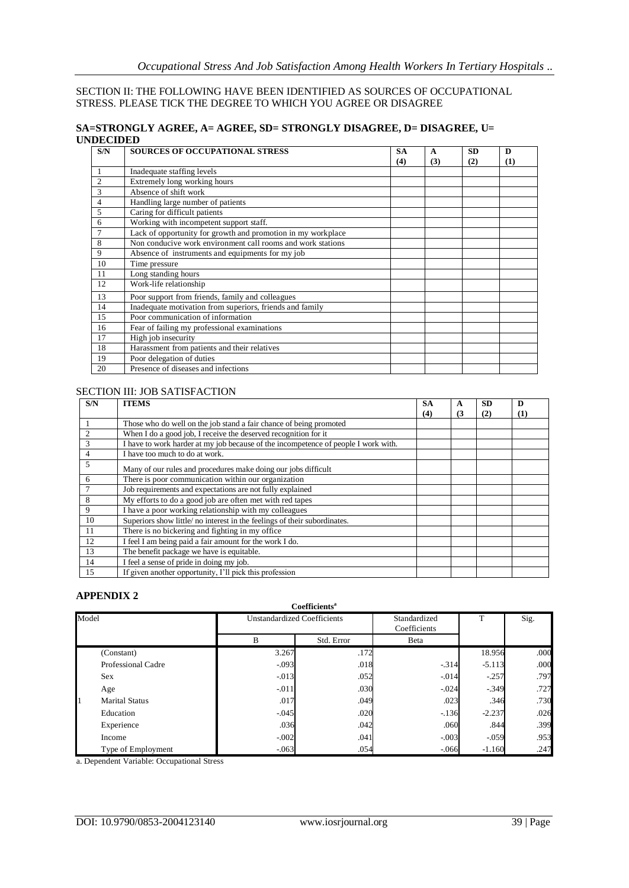## SECTION II: THE FOLLOWING HAVE BEEN IDENTIFIED AS SOURCES OF OCCUPATIONAL STRESS. PLEASE TICK THE DEGREE TO WHICH YOU AGREE OR DISAGREE

## **SA=STRONGLY AGREE, A= AGREE, SD= STRONGLY DISAGREE, D= DISAGREE, U= UNDECIDED**

| S/N | <b>SOURCES OF OCCUPATIONAL STRESS</b>                        | <b>SA</b> | A   | <b>SD</b> | D   |
|-----|--------------------------------------------------------------|-----------|-----|-----------|-----|
|     |                                                              | (4)       | (3) | (2)       | (1) |
| 1   | Inadequate staffing levels                                   |           |     |           |     |
| 2   | Extremely long working hours                                 |           |     |           |     |
| 3   | Absence of shift work                                        |           |     |           |     |
| 4   | Handling large number of patients                            |           |     |           |     |
| 5   | Caring for difficult patients                                |           |     |           |     |
| 6   | Working with incompetent support staff.                      |           |     |           |     |
|     | Lack of opportunity for growth and promotion in my workplace |           |     |           |     |
| 8   | Non conducive work environment call rooms and work stations  |           |     |           |     |
| 9   | Absence of instruments and equipments for my job             |           |     |           |     |
| 10  | Time pressure                                                |           |     |           |     |
| 11  | Long standing hours                                          |           |     |           |     |
| 12  | Work-life relationship                                       |           |     |           |     |
| 13  | Poor support from friends, family and colleagues             |           |     |           |     |
| 14  | Inadequate motivation from superiors, friends and family     |           |     |           |     |
| 15  | Poor communication of information                            |           |     |           |     |
| 16  | Fear of failing my professional examinations                 |           |     |           |     |
| 17  | High job insecurity                                          |           |     |           |     |
| 18  | Harassment from patients and their relatives                 |           |     |           |     |
| 19  | Poor delegation of duties                                    |           |     |           |     |
| 20  | Presence of diseases and infections                          |           |     |           |     |

## SECTION III: JOB SATISFACTION

| S/N | <b>ITEMS</b>                                                                       | <b>SA</b> | $\mathbf{A}$ | <b>SD</b> | D   |
|-----|------------------------------------------------------------------------------------|-----------|--------------|-----------|-----|
|     |                                                                                    | (4)       | (3)          | (2)       | (1) |
|     | Those who do well on the job stand a fair chance of being promoted                 |           |              |           |     |
|     | When I do a good job, I receive the deserved recognition for it                    |           |              |           |     |
| 3   | I have to work harder at my job because of the incompetence of people I work with. |           |              |           |     |
| 4   | I have too much to do at work.                                                     |           |              |           |     |
| 5   | Many of our rules and procedures make doing our jobs difficult                     |           |              |           |     |
| 6   | There is poor communication within our organization                                |           |              |           |     |
|     | Job requirements and expectations are not fully explained                          |           |              |           |     |
| 8   | My efforts to do a good job are often met with red tapes                           |           |              |           |     |
| 9   | I have a poor working relationship with my colleagues                              |           |              |           |     |
| 10  | Superiors show little/no interest in the feelings of their subordinates.           |           |              |           |     |
| 11  | There is no bickering and fighting in my office                                    |           |              |           |     |
| 12  | I feel I am being paid a fair amount for the work I do.                            |           |              |           |     |
| 13  | The benefit package we have is equitable.                                          |           |              |           |     |
| 14  | I feel a sense of pride in doing my job.                                           |           |              |           |     |
| 15  | If given another opportunity, I'll pick this profession                            |           |              |           |     |

## **APPENDIX 2**

|       | Coefficients <sup>a</sup> |                                    |            |                              |          |      |  |  |  |
|-------|---------------------------|------------------------------------|------------|------------------------------|----------|------|--|--|--|
| Model |                           | <b>Unstandardized Coefficients</b> |            | Standardized<br>Coefficients | T        | Sig. |  |  |  |
|       |                           | B                                  | Std. Error | Beta                         |          |      |  |  |  |
|       | (Constant)                | 3.267                              | .172       |                              | 18.956   | .000 |  |  |  |
|       | Professional Cadre        | $-.093$                            | .018       | $-.314$                      | $-5.113$ | .000 |  |  |  |
|       | Sex                       | $-.013$                            | .052       | $-.014$                      | $-.257$  | .797 |  |  |  |
|       | Age                       | $-.011$                            | .030       | $-.024$                      | $-349$   | .727 |  |  |  |
|       | <b>Marital Status</b>     | .017                               | .049       | .023                         | .346     | .730 |  |  |  |
|       | Education                 | $-.045$                            | .020       | $-136$                       | $-2.237$ | .026 |  |  |  |
|       | Experience                | .036                               | .042       | .060                         | .844     | .399 |  |  |  |
|       | Income                    | $-.002$                            | .041       | $-.003$                      | $-0.059$ | .953 |  |  |  |
|       | Type of Employment        | $-063$                             | .054       | $-.066$                      | $-1.160$ | .247 |  |  |  |

a. Dependent Variable: Occupational Stress